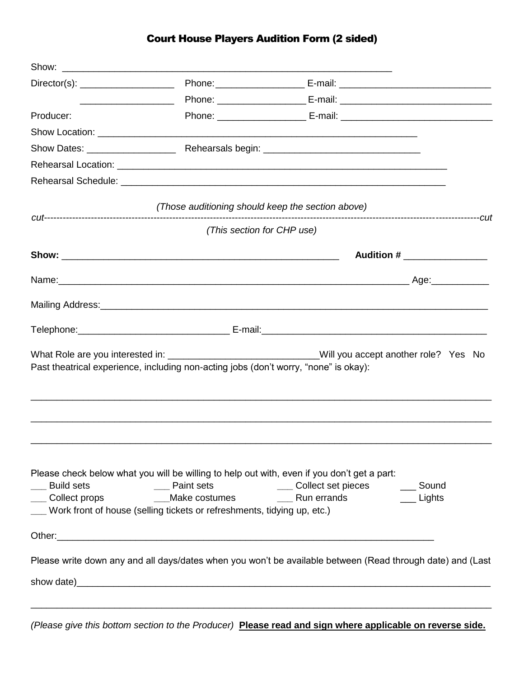## Court House Players Audition Form (2 sided)

| <u> Alexandro Alexandro Alexandro Alexandro Alexandro Alexandro Alexandro Alexandro Alexandro Alexandro Alexandro A</u> |                                                                                                                                                                                                          |                                                                                                            |  |
|-------------------------------------------------------------------------------------------------------------------------|----------------------------------------------------------------------------------------------------------------------------------------------------------------------------------------------------------|------------------------------------------------------------------------------------------------------------|--|
| Producer:                                                                                                               |                                                                                                                                                                                                          |                                                                                                            |  |
|                                                                                                                         |                                                                                                                                                                                                          |                                                                                                            |  |
|                                                                                                                         |                                                                                                                                                                                                          |                                                                                                            |  |
|                                                                                                                         |                                                                                                                                                                                                          |                                                                                                            |  |
|                                                                                                                         |                                                                                                                                                                                                          |                                                                                                            |  |
|                                                                                                                         | (Those auditioning should keep the section above)                                                                                                                                                        |                                                                                                            |  |
|                                                                                                                         | (This section for CHP use)                                                                                                                                                                               |                                                                                                            |  |
|                                                                                                                         |                                                                                                                                                                                                          | Audition #                                                                                                 |  |
|                                                                                                                         |                                                                                                                                                                                                          |                                                                                                            |  |
|                                                                                                                         |                                                                                                                                                                                                          |                                                                                                            |  |
|                                                                                                                         |                                                                                                                                                                                                          |                                                                                                            |  |
|                                                                                                                         | Past theatrical experience, including non-acting jobs (don't worry, "none" is okay):                                                                                                                     | What Role are you interested in: _________________________________Will you accept another role? Yes No     |  |
| <b>Build sets</b><br>Collect props                                                                                      | Please check below what you will be willing to help out with, even if you don't get a part:<br>__ Paint sets<br>Make costumes<br>Work front of house (selling tickets or refreshments, tidying up, etc.) | ____ Collect set pieces<br>Sound<br>Run errands<br>$\equiv$ Lights                                         |  |
|                                                                                                                         |                                                                                                                                                                                                          | Please write down any and all days/dates when you won't be available between (Read through date) and (Last |  |
|                                                                                                                         |                                                                                                                                                                                                          |                                                                                                            |  |

*(Please give this bottom section to the Producer)* **Please read and sign where applicable on reverse side.**